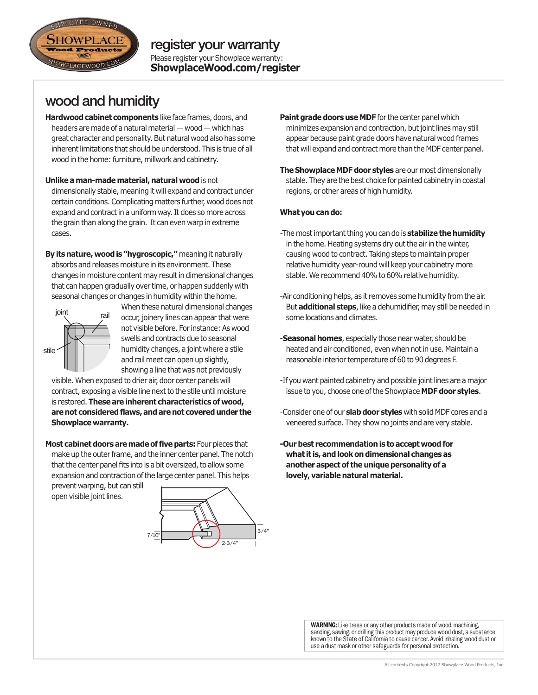

# wood and humidity

- **Hardwood cabinet components** like face frames, doors, and headers are made of a natural material — wood — which has great character and personality. But natural wood also has some inherent limitations that should be understood. This is true of all wood in the home: furniture, millwork and cabinetry.
- **Unlike a man-made material, natural wood** is not dimensionally stable, meaning it will expand and contract under certain conditions. Complicating matters further, wood does not expand and contract in a uniform way. It does so more across the grain than along the grain. It can even warp in extreme cases.
- **By its nature, wood is "hygroscopic,"** meaning it naturally absorbs and releases moisture in its environment. These changes in moisture content may result in dimensional changes that can happen gradually over time, or happen suddenly with seasonal changes or changes in humidity within the home.



When these natural dimensional changes joint rail occur, joinery lines can appear that were not visible before. For instance: As wood swells and contracts due to seasonal humidity changes, a joint where a stile and rail meet can open up slightly, showing a line that was not previously

visible. When exposed to drier air, door center panels will contract, exposing a visible line next to the stile until moisture is restored. **These are inherent characteristics of wood, are not considered flaws, and are not covered under the Showplace warranty.**

**Most cabinet doors are made of five parts:** Four pieces that make up the outer frame, and the inner center panel. The notch that the center panel fits into is a bit oversized, to allow some expansion and contraction of the large center panel. This helps

prevent warping, but can still open visible joint lines.



- **Paint grade doors use MDF** for the center panel which minimizes expansion and contraction, but joint lines may still appear because paint grade doors have natural wood frames that will expand and contract more than the MDF center panel.
- **The Showplace MDF door styles** are our most dimensionally stable. They are the best choice for painted cabinetry in coastal regions, or other areas of high humidity.

#### **What you can do:**

- -The most important thing you can do is **stabilize the humidity** in the home. Heating systems dry out the air in the winter, causing wood to contract. Taking steps to maintain proper relative humidity year-round will keep your cabinetry more stable. We recommend 40% to 60% relative humidity.
- -Air conditioning helps, as it removes some humidity from the air. But **additional steps**, like a dehumidifier, may still be needed in some locations and climates.
- -**Seasonal homes**, especially those near water, should be heated and air conditioned, even when not in use. Maintain a reasonable interior temperature of 60 to 90 degrees F.
- -If you want painted cabinetry and possible joint lines are a major issue to you, choose one of the Showplace **MDF door styles**.
- -Consider one of our **slab door styles** with solid MDF cores and a veneered surface. They show no joints and are very stable.
- **-Our best recommendation is to accept wood for what it is, and look on dimensional changes as another aspect of the unique personality of a lovely, variable natural material.**

WARNING: Like trees or any other products made of wood, machining, sanding, sawing, or drilling this product may produce wood dust, a substance known to the State of California to cause cancer. Avoid inhaling wood dust or use a dust mask or other safeguards for personal protection.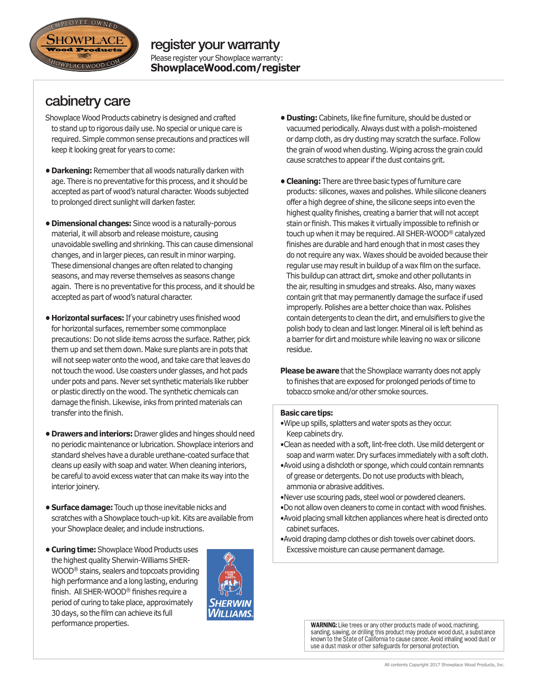

### Please register your Showplace warranty: **ShowplaceWood.com/register** register your warranty

cabinetry care

- Showplace Wood Products cabinetry is designed and crafted to stand up to rigorous daily use. No special or unique care is required. Simple common sense precautions and practices will keep it looking great for years to come:
- **Darkening:** Remember that all woods naturally darken with age. There is no preventative for this process, and it should be accepted as part of wood's natural character. Woods subjected to prolonged direct sunlight will darken faster.
- **Dimensional changes:** Since wood is a naturally-porous material, it will absorb and release moisture, causing unavoidable swelling and shrinking. This can cause dimensional changes, and in larger pieces, can result in minor warping. These dimensional changes are often related to changing seasons, and may reverse themselves as seasons change again. There is no preventative for this process, and it should be accepted as part of wood's natural character.
- **Horizontal surfaces:** If your cabinetry uses finished wood for horizontal surfaces, remember some commonplace precautions: Do not slide items across the surface. Rather, pick them up and set them down. Make sure plants are in pots that will not seep water onto the wood, and take care that leaves do not touch the wood. Use coasters under glasses, and hot pads under pots and pans. Never set synthetic materials like rubber or plastic directly on the wood. The synthetic chemicals can damage the finish. Likewise, inks from printed materials can transfer into the finish.
- **Drawers and interiors:** Drawer glides and hinges should need no periodic maintenance or lubrication. Showplace interiors and standard shelves have a durable urethane-coated surface that cleans up easily with soap and water. When cleaning interiors, be careful to avoid excess water that can make its way into the interior joinery.
- **Surface damage:** Touch up those inevitable nicks and scratches with a Showplace touch-up kit. Kits are available from your Showplace dealer, and include instructions.
- **Curing time:** Showplace Wood Products uses the highest quality Sherwin-Williams SHER-WOOD® stains, sealers and topcoats providing high performance and a long lasting, enduring finish. All SHER-WOOD® finishes require a period of curing to take place, approximately 30 days, so the film can achieve its full performance properties.



- **Dusting:** Cabinets, like fine furniture, should be dusted or vacuumed periodically. Always dust with a polish-moistened or damp cloth, as dry dusting may scratch the surface. Follow the grain of wood when dusting. Wiping across the grain could cause scratches to appear if the dust contains grit.
- **Cleaning:** There are three basic types of furniture care products: silicones, waxes and polishes. While silicone cleaners offer a high degree of shine, the silicone seeps into even the highest quality finishes, creating a barrier that will not accept stain or finish. This makes it virtually impossible to refinish or touch up when it may be required. All SHER-WOOD® catalyzed finishes are durable and hard enough that in most cases they do not require any wax. Waxes should be avoided because their regular use may result in buildup of a wax film on the surface. This buildup can attract dirt, smoke and other pollutants in the air, resulting in smudges and streaks. Also, many waxes contain grit that may permanently damage the surface if used improperly. Polishes are a better choice than wax. Polishes contain detergents to clean the dirt, and emulsifiers to give the polish body to clean and last longer. Mineral oil is left behind as a barrier for dirt and moisture while leaving no wax or silicone residue.
- **Please be aware** that the Showplace warranty does not apply to finishes that are exposed for prolonged periods of time to tobacco smoke and/or other smoke sources.

### **Basic care tips:**

- •Wipe up spills, splatters and water spots as they occur. Keep cabinets dry.
- •Clean as needed with a soft, lint-free cloth. Use mild detergent or soap and warm water. Dry surfaces immediately with a soft cloth.
- •Avoid using a dishcloth or sponge, which could contain remnants of grease or detergents. Do not use products with bleach, ammonia or abrasive additives.
- •Never use scouring pads, steel wool or powdered cleaners.
- •Do not allow oven cleaners to come in contact with wood finishes.
- •Avoid placing small kitchen appliances where heat is directed onto cabinet surfaces.
- •Avoid draping damp clothes or dish towels over cabinet doors. Excessive moisture can cause permanent damage.

WARNING: Like trees or any other products made of wood, machining, sanding, sawing, or drilling this product may produce wood dust, a substance known to the State of California to cause cancer. Avoid inhaling wood dust or use a dust mask or other safeguards for personal protection.